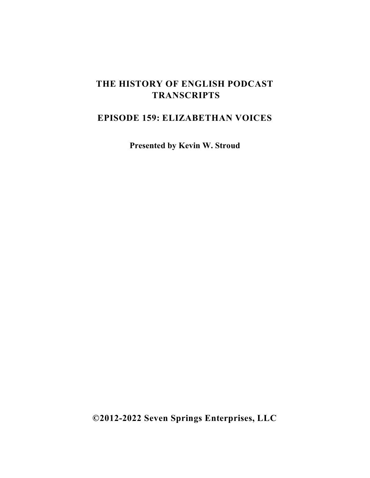## **THE HISTORY OF ENGLISH PODCAST TRANSCRIPTS**

## **EPISODE 159: ELIZABETHAN VOICES**

**Presented by Kevin W. Stroud**

**©2012-2022 Seven Springs Enterprises, LLC**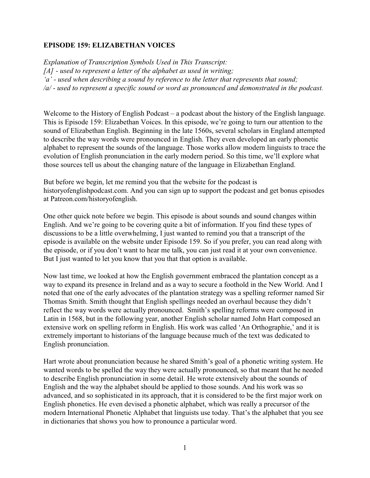## **EPISODE 159: ELIZABETHAN VOICES**

*Explanation of Transcription Symbols Used in This Transcript: [A] - used to represent a letter of the alphabet as used in writing; 'a' - used when describing a sound by reference to the letter that represents that sound; /a/ - used to represent a specific sound or word as pronounced and demonstrated in the podcast.*

Welcome to the History of English Podcast – a podcast about the history of the English language. This is Episode 159: Elizabethan Voices. In this episode, we're going to turn our attention to the sound of Elizabethan English. Beginning in the late 1560s, several scholars in England attempted to describe the way words were pronounced in English. They even developed an early phonetic alphabet to represent the sounds of the language. Those works allow modern linguists to trace the evolution of English pronunciation in the early modern period. So this time, we'll explore what those sources tell us about the changing nature of the language in Elizabethan England.

But before we begin, let me remind you that the website for the podcast is historyofenglishpodcast.com. And you can sign up to support the podcast and get bonus episodes at Patreon.com/historyofenglish.

One other quick note before we begin. This episode is about sounds and sound changes within English. And we're going to be covering quite a bit of information. If you find these types of discussions to be a little overwhelming, I just wanted to remind you that a transcript of the episode is available on the website under Episode 159. So if you prefer, you can read along with the episode, or if you don't want to hear me talk, you can just read it at your own convenience. But I just wanted to let you know that you that that option is available.

Now last time, we looked at how the English government embraced the plantation concept as a way to expand its presence in Ireland and as a way to secure a foothold in the New World. And I noted that one of the early advocates of the plantation strategy was a spelling reformer named Sir Thomas Smith. Smith thought that English spellings needed an overhaul because they didn't reflect the way words were actually pronounced. Smith's spelling reforms were composed in Latin in 1568, but in the following year, another English scholar named John Hart composed an extensive work on spelling reform in English. His work was called 'An Orthographie,' and it is extremely important to historians of the language because much of the text was dedicated to English pronunciation.

Hart wrote about pronunciation because he shared Smith's goal of a phonetic writing system. He wanted words to be spelled the way they were actually pronounced, so that meant that he needed to describe English pronunciation in some detail. He wrote extensively about the sounds of English and the way the alphabet should be applied to those sounds. And his work was so advanced, and so sophisticated in its approach, that it is considered to be the first major work on English phonetics. He even devised a phonetic alphabet, which was really a precursor of the modern International Phonetic Alphabet that linguists use today. That's the alphabet that you see in dictionaries that shows you how to pronounce a particular word.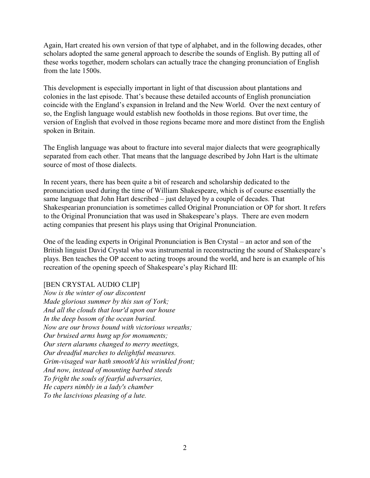Again, Hart created his own version of that type of alphabet, and in the following decades, other scholars adopted the same general approach to describe the sounds of English. By putting all of these works together, modern scholars can actually trace the changing pronunciation of English from the late 1500s.

This development is especially important in light of that discussion about plantations and colonies in the last episode. That's because these detailed accounts of English pronunciation coincide with the England's expansion in Ireland and the New World. Over the next century of so, the English language would establish new footholds in those regions. But over time, the version of English that evolved in those regions became more and more distinct from the English spoken in Britain.

The English language was about to fracture into several major dialects that were geographically separated from each other. That means that the language described by John Hart is the ultimate source of most of those dialects.

In recent years, there has been quite a bit of research and scholarship dedicated to the pronunciation used during the time of William Shakespeare, which is of course essentially the same language that John Hart described – just delayed by a couple of decades. That Shakespearian pronunciation is sometimes called Original Pronunciation or OP for short. It refers to the Original Pronunciation that was used in Shakespeare's plays. There are even modern acting companies that present his plays using that Original Pronunciation.

One of the leading experts in Original Pronunciation is Ben Crystal – an actor and son of the British linguist David Crystal who was instrumental in reconstructing the sound of Shakespeare's plays. Ben teaches the OP accent to acting troops around the world, and here is an example of his recreation of the opening speech of Shakespeare's play Richard III:

## [BEN CRYSTAL AUDIO CLIP]

*Now is the winter of our discontent Made glorious summer by this sun of York; And all the clouds that lour'd upon our house In the deep bosom of the ocean buried. Now are our brows bound with victorious wreaths; Our bruised arms hung up for monuments; Our stern alarums changed to merry meetings, Our dreadful marches to delightful measures. Grim-visaged war hath smooth'd his wrinkled front; And now, instead of mounting barbed steeds To fright the souls of fearful adversaries, He capers nimbly in a lady's chamber To the lascivious pleasing of a lute.*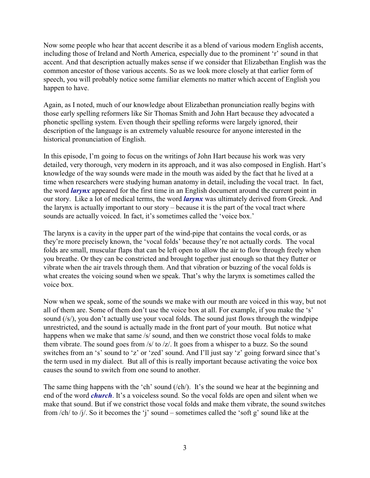Now some people who hear that accent describe it as a blend of various modern English accents, including those of Ireland and North America, especially due to the prominent 'r' sound in that accent. And that description actually makes sense if we consider that Elizabethan English was the common ancestor of those various accents. So as we look more closely at that earlier form of speech, you will probably notice some familiar elements no matter which accent of English you happen to have.

Again, as I noted, much of our knowledge about Elizabethan pronunciation really begins with those early spelling reformers like Sir Thomas Smith and John Hart because they advocated a phonetic spelling system. Even though their spelling reforms were largely ignored, their description of the language is an extremely valuable resource for anyone interested in the historical pronunciation of English.

In this episode, I'm going to focus on the writings of John Hart because his work was very detailed, very thorough, very modern in its approach, and it was also composed in English. Hart's knowledge of the way sounds were made in the mouth was aided by the fact that he lived at a time when researchers were studying human anatomy in detail, including the vocal tract. In fact, the word *larynx* appeared for the first time in an English document around the current point in our story. Like a lot of medical terms, the word *larynx* was ultimately derived from Greek. And the larynx is actually important to our story – because it is the part of the vocal tract where sounds are actually voiced. In fact, it's sometimes called the 'voice box.'

The larynx is a cavity in the upper part of the wind-pipe that contains the vocal cords, or as they're more precisely known, the 'vocal folds' because they're not actually cords. The vocal folds are small, muscular flaps that can be left open to allow the air to flow through freely when you breathe. Or they can be constricted and brought together just enough so that they flutter or vibrate when the air travels through them. And that vibration or buzzing of the vocal folds is what creates the voicing sound when we speak. That's why the larynx is sometimes called the voice box.

Now when we speak, some of the sounds we make with our mouth are voiced in this way, but not all of them are. Some of them don't use the voice box at all. For example, if you make the 's' sound (/s/), you don't actually use your vocal folds. The sound just flows through the windpipe unrestricted, and the sound is actually made in the front part of your mouth. But notice what happens when we make that same /s/ sound, and then we constrict those vocal folds to make them vibrate. The sound goes from /s/ to /z/. It goes from a whisper to a buzz. So the sound switches from an 's' sound to 'z' or 'zed' sound. And I'll just say 'z' going forward since that's the term used in my dialect. But all of this is really important because activating the voice box causes the sound to switch from one sound to another.

The same thing happens with the 'ch' sound (/ch/). It's the sound we hear at the beginning and end of the word *church*. It's a voiceless sound. So the vocal folds are open and silent when we make that sound. But if we constrict those vocal folds and make them vibrate, the sound switches from /ch/ to /j/. So it becomes the 'j' sound – sometimes called the 'soft g' sound like at the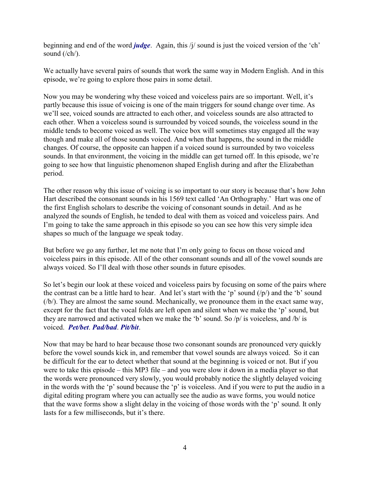beginning and end of the word *judge*. Again, this /j/ sound is just the voiced version of the 'ch' sound (/ch/).

We actually have several pairs of sounds that work the same way in Modern English. And in this episode, we're going to explore those pairs in some detail.

Now you may be wondering why these voiced and voiceless pairs are so important. Well, it's partly because this issue of voicing is one of the main triggers for sound change over time. As we'll see, voiced sounds are attracted to each other, and voiceless sounds are also attracted to each other. When a voiceless sound is surrounded by voiced sounds, the voiceless sound in the middle tends to become voiced as well. The voice box will sometimes stay engaged all the way though and make all of those sounds voiced. And when that happens, the sound in the middle changes. Of course, the opposite can happen if a voiced sound is surrounded by two voiceless sounds. In that environment, the voicing in the middle can get turned off. In this episode, we're going to see how that linguistic phenomenon shaped English during and after the Elizabethan period.

The other reason why this issue of voicing is so important to our story is because that's how John Hart described the consonant sounds in his 1569 text called 'An Orthography.' Hart was one of the first English scholars to describe the voicing of consonant sounds in detail. And as he analyzed the sounds of English, he tended to deal with them as voiced and voiceless pairs. And I'm going to take the same approach in this episode so you can see how this very simple idea shapes so much of the language we speak today.

But before we go any further, let me note that I'm only going to focus on those voiced and voiceless pairs in this episode. All of the other consonant sounds and all of the vowel sounds are always voiced. So I'll deal with those other sounds in future episodes.

So let's begin our look at these voiced and voiceless pairs by focusing on some of the pairs where the contrast can be a little hard to hear. And let's start with the 'p' sound (/p/) and the 'b' sound (/b/). They are almost the same sound. Mechanically, we pronounce them in the exact same way, except for the fact that the vocal folds are left open and silent when we make the 'p' sound, but they are narrowed and activated when we make the 'b' sound. So /p/ is voiceless, and /b/ is voiced. *Pet/bet*. *Pad/bad*. *Pit/bit*.

Now that may be hard to hear because those two consonant sounds are pronounced very quickly before the vowel sounds kick in, and remember that vowel sounds are always voiced. So it can be difficult for the ear to detect whether that sound at the beginning is voiced or not. But if you were to take this episode – this MP3 file – and you were slow it down in a media player so that the words were pronounced very slowly, you would probably notice the slightly delayed voicing in the words with the 'p' sound because the 'p' is voiceless. And if you were to put the audio in a digital editing program where you can actually see the audio as wave forms, you would notice that the wave forms show a slight delay in the voicing of those words with the 'p' sound. It only lasts for a few milliseconds, but it's there.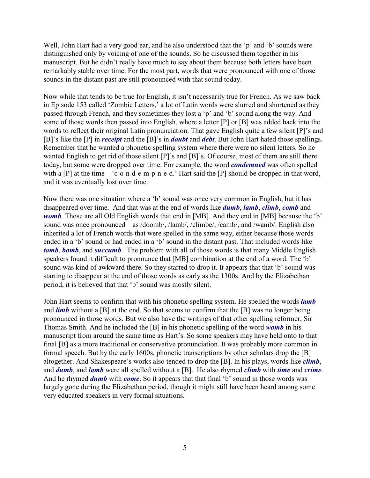Well, John Hart had a very good ear, and he also understood that the 'p' and 'b' sounds were distinguished only by voicing of one of the sounds. So he discussed them together in his manuscript. But he didn't really have much to say about them because both letters have been remarkably stable over time. For the most part, words that were pronounced with one of those sounds in the distant past are still pronounced with that sound today.

Now while that tends to be true for English, it isn't necessarily true for French. As we saw back in Episode 153 called 'Zombie Letters,' a lot of Latin words were slurred and shortened as they passed through French, and they sometimes they lost a 'p' and 'b' sound along the way. And some of those words then passed into English, where a letter [P] or [B] was added back into the words to reflect their original Latin pronunciation. That gave English quite a few silent [P]'s and [B]'s like the [P] in *receipt* and the [B]'s in *doubt* and *debt*. But John Hart hated those spellings. Remember that he wanted a phonetic spelling system where there were no silent letters. So he wanted English to get rid of those silent [P]'s and [B]'s. Of course, most of them are still there today, but some were dropped over time. For example, the word *condemned* was often spelled with a [P] at the time – 'c-o-n-d-e-m-p-n-e-d.' Hart said the [P] should be dropped in that word, and it was eventually lost over time.

Now there was one situation where a 'b' sound was once very common in English, but it has disappeared over time. And that was at the end of words like *dumb*, *lamb*, *climb*, *comb* and *womb*. Those are all Old English words that end in [MB]. And they end in [MB] because the 'b' sound was once pronounced – as /doomb/, /lamb/, /climbe/, /camb/, and /wamb/. English also inherited a lot of French words that were spelled in the same way, either because those words ended in a 'b' sound or had ended in a 'b' sound in the distant past. That included words like *tomb*, *bomb*, and *succumb*. The problem with all of those words is that many Middle English speakers found it difficult to pronounce that [MB] combination at the end of a word. The 'b' sound was kind of awkward there. So they started to drop it. It appears that that 'b' sound was starting to disappear at the end of those words as early as the 1300s. And by the Elizabethan period, it is believed that that 'b' sound was mostly silent.

John Hart seems to confirm that with his phonetic spelling system. He spelled the words *lamb* and *limb* without a [B] at the end. So that seems to confirm that the [B] was no longer being pronounced in those words. But we also have the writings of that other spelling reformer, Sir Thomas Smith. And he included the [B] in his phonetic spelling of the word *womb* in his manuscript from around the same time as Hart's. So some speakers may have held onto to that final [B] as a more traditional or conservative pronunciation. It was probably more common in formal speech. But by the early 1600s, phonetic transcriptions by other scholars drop the [B] altogether. And Shakespeare's works also tended to drop the [B]. In his plays, words like *climb*, and *dumb*, and *lamb* were all spelled without a [B]. He also rhymed *climb* with *time* and *crime*. And he rhymed *dumb* with *come*. So it appears that that final 'b' sound in those words was largely gone during the Elizabethan period, though it might still have been heard among some very educated speakers in very formal situations.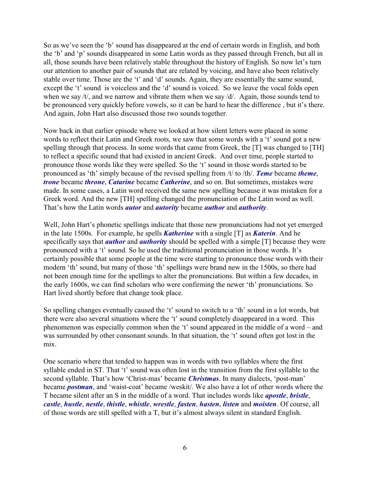So as we've seen the 'b' sound has disappeared at the end of certain words in English, and both the 'b' and 'p' sounds disappeared in some Latin words as they passed through French, but all in all, those sounds have been relatively stable throughout the history of English. So now let's turn our attention to another pair of sounds that are related by voicing, and have also been relatively stable over time. Those are the 't' and 'd' sounds. Again, they are essentially the same sound, except the 't' sound is voiceless and the 'd' sound is voiced. So we leave the vocal folds open when we say /t/, and we narrow and vibrate them when we say /d/. Again, those sounds tend to be pronounced very quickly before vowels, so it can be hard to hear the difference , but it's there. And again, John Hart also discussed those two sounds together.

Now back in that earlier episode where we looked at how silent letters were placed in some words to reflect their Latin and Greek roots, we saw that some words with a 't' sound got a new spelling through that process. In some words that came from Greek, the [T] was changed to [TH] to reflect a specific sound that had existed in ancient Greek. And over time, people started to pronounce those words like they were spelled. So the 't' sound in those words started to be pronounced as 'th' simply because of the revised spelling from /t/ to /th/. *Teme* became *theme*, *trone* became *throne*, *Catarine* became *Catherine*, and so on. But sometimes, mistakes were made. In some cases, a Latin word received the same new spelling because it was mistaken for a Greek word. And the new [TH] spelling changed the pronunciation of the Latin word as well. That's how the Latin words *autor* and *autority* became *author* and *authority*.

Well, John Hart's phonetic spellings indicate that those new pronunciations had not yet emerged in the late 1500s. For example, he spells *Katherine* with a single [T] as *Katerin*. And he specifically says that *author* and *authority* should be spelled with a simple [T] because they were pronounced with a 't' sound. So he used the traditional pronunciation in those words. It's certainly possible that some people at the time were starting to pronounce those words with their modern 'th' sound, but many of those 'th' spellings were brand new in the 1500s, so there had not been enough time for the spellings to alter the pronunciations. But within a few decades, in the early 1600s, we can find scholars who were confirming the newer 'th' pronunciations. So Hart lived shortly before that change took place.

So spelling changes eventually caused the 't' sound to switch to a 'th' sound in a lot words, but there were also several situations where the 't' sound completely disappeared in a word. This phenomenon was especially common when the 't' sound appeared in the middle of a word – and was surrounded by other consonant sounds. In that situation, the 't' sound often got lost in the mix.

One scenario where that tended to happen was in words with two syllables where the first syllable ended in ST. That 't' sound was often lost in the transition from the first syllable to the second syllable. That's how 'Christ-mas' became *Christmas*. In many dialects, 'post-man' became *postman*, and 'waist-coat' became /weskit/. We also have a lot of other words where the T became silent after an S in the middle of a word. That includes words like *apostle*, *bristle*, *castle*, *hustle*, *nestle*, *thistle*, *whistle*, *wrestle*, *fasten*, *hasten*, *listen* and *moisten*. Of course, all of those words are still spelled with a T, but it's almost always silent in standard English.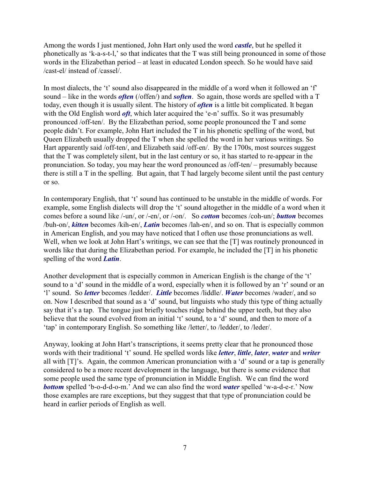Among the words I just mentioned, John Hart only used the word *castle*, but he spelled it phonetically as 'k-a-s-t-l,' so that indicates that the T was still being pronounced in some of those words in the Elizabethan period – at least in educated London speech. So he would have said /cast-el/ instead of /cassel/.

In most dialects, the 't' sound also disappeared in the middle of a word when it followed an 'f' sound – like in the words *often* (/offen/) and *soften*. So again, those words are spelled with a T today, even though it is usually silent. The history of *often* is a little bit complicated. It began with the Old English word *oft*, which later acquired the 'e-n' suffix. So it was presumably pronounced /off-ten/. By the Elizabethan period, some people pronounced the T and some people didn't. For example, John Hart included the T in his phonetic spelling of the word, but Queen Elizabeth usually dropped the T when she spelled the word in her various writings. So Hart apparently said /off-ten/, and Elizabeth said /off-en/. By the 1700s, most sources suggest that the T was completely silent, but in the last century or so, it has started to re-appear in the pronunciation. So today, you may hear the word pronounced as /off-ten/ – presumably because there is still a T in the spelling. But again, that T had largely become silent until the past century or so.

In contemporary English, that 't' sound has continued to be unstable in the middle of words. For example, some English dialects will drop the 't' sound altogether in the middle of a word when it comes before a sound like /-un/, or /-en/, or /-on/. So *cotton* becomes /coh-un/; *button* becomes /buh-on/, *kitten* becomes /kih-en/, *Latin* becomes /lah-en/, and so on. That is especially common in American English, and you may have noticed that I often use those pronunciations as well. Well, when we look at John Hart's writings, we can see that the [T] was routinely pronounced in words like that during the Elizabethan period. For example, he included the [T] in his phonetic spelling of the word *Latin*.

Another development that is especially common in American English is the change of the 't' sound to a 'd' sound in the middle of a word, especially when it is followed by an 'r' sound or an 'l' sound. So *letter* becomes /ledder/. *Little* becomes /liddle/. *Water* becomes /wader/, and so on. Now I described that sound as a 'd' sound, but linguists who study this type of thing actually say that it's a tap. The tongue just briefly touches ridge behind the upper teeth, but they also believe that the sound evolved from an initial 't' sound, to a 'd' sound, and then to more of a 'tap' in contemporary English. So something like /letter/, to /ledder/, to /leder/.

Anyway, looking at John Hart's transcriptions, it seems pretty clear that he pronounced those words with their traditional 't' sound. He spelled words like *letter*, *little*, *later*, *water* and *writer* all with [T]'s. Again, the common American pronunciation with a 'd' sound or a tap is generally considered to be a more recent development in the language, but there is some evidence that some people used the same type of pronunciation in Middle English. We can find the word *bottom* spelled 'b-o-d-d-o-m.' And we can also find the word *water* spelled 'w-a-d-e-r.' Now those examples are rare exceptions, but they suggest that that type of pronunciation could be heard in earlier periods of English as well.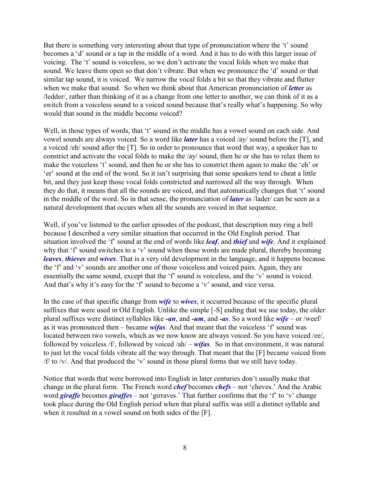But there is something very interesting about that type of pronunciation where the 't' sound becomes a 'd' sound or a tap in the middle of a word. And it has to do with this larger issue of voicing. The 't' sound is voiceless, so we don't activate the vocal folds when we make that sound. We leave them open so that don't vibrate. But when we pronounce the 'd' sound or that similar tap sound, it is voiced. We narrow the vocal folds a bit so that they vibrate and flutter when we make that sound. So when we think about that American pronunciation of *letter* as /ledder/, rather than thinking of it as a change from one letter to another, we can think of it as a switch from a voiceless sound to a voiced sound because that's really what's happening. So why would that sound in the middle become voiced?

Well, in those types of words, that 't' sound in the middle has a vowel sound on each side. And vowel sounds are always voiced. So a word like *later* has a voiced /ay/ sound before the [T], and a voiced /eh/ sound after the [T]. So in order to pronounce that word that way, a speaker has to constrict and activate the vocal folds to make the /ay/ sound, then he or she has to relax them to make the voiceless 't' sound, and then he or she has to constrict them again to make the 'eh' or 'er' sound at the end of the word. So it isn't surprising that some speakers tend to cheat a little bit, and they just keep those vocal folds constricted and narrowed all the way through. When they do that, it means that all the sounds are voiced, and that automatically changes that 't' sound in the middle of the word. So in that sense, the pronunciation of *later* as /lader/ can be seen as a natural development that occurs when all the sounds are voiced in that sequence.

Well, if you've listened to the earlier episodes of the podcast, that description may ring a bell because I described a very similar situation that occurred in the Old English period. That situation involved the 'f' sound at the end of words like *leaf*, and *thief* and *wife*. And it explained why that 'f' sound switches to a 'v' sound when those words are made plural, thereby becoming *leaves*, *thieves* and *wives*. That is a very old development in the language, and it happens because the 'f' and 'v' sounds are another one of those voiceless and voiced pairs. Again, they are essentially the same sound, except that the 'f' sound is voiceless, and the 'v' sound is voiced. And that's why it's easy for the 'f' sound to become a 'v' sound, and vice versa.

In the case of that specific change from *wife* to *wives*, it occurred because of the specific plural suffixes that were used in Old English. Unlike the simple [-S] ending that we use today, the older plural suffixes were distinct syllables like *-an*, and *-um*, and *-as*. So a word like *wife* – or /weef/ as it was pronounced then – became *wifas*. And that meant that the voiceless 'f' sound was located between two vowels, which as we now know are always voiced. So you have voiced /ee/, followed by voiceless /f/, followed by voiced /ah/ – *wifas*. So in that environment, it was natural to just let the vocal folds vibrate all the way through. That meant that the [F] became voiced from /f/ to /v/. And that produced the 'v' sound in those plural forms that we still have today.

Notice that words that were borrowed into English in later centuries don't usually make that change in the plural form. The French word *chef* becomes *chefs* – not 'cheves.' And the Arabic word *giraffe* becomes *giraffes* – not 'girraves.' That further confirms that the 'f' to 'v' change took place during the Old English period when that plural suffix was still a distinct syllable and when it resulted in a vowel sound on both sides of the [F].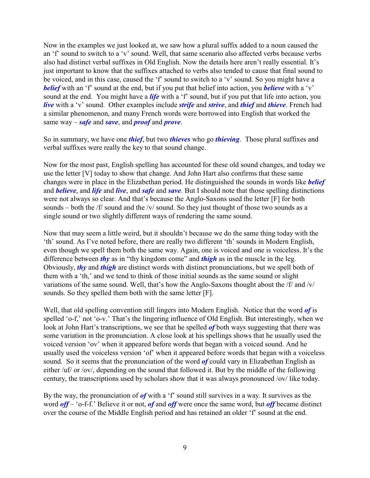Now in the examples we just looked at, we saw how a plural suffix added to a noun caused the an 'f' sound to switch to a 'v' sound. Well, that same scenario also affected verbs because verbs also had distinct verbal suffixes in Old English. Now the details here aren't really essential. It's just important to know that the suffixes attached to verbs also tended to cause that final sound to be voiced, and in this case, caused the 'f' sound to switch to a 'v' sound. So you might have a *belief* with an 'f' sound at the end, but if you put that belief into action, you *believe* with a 'v' sound at the end. You might have a *life* with a 'f' sound, but if you put that life into action, you *live* with a 'v' sound. Other examples include *strife* and *strive*, and *thief* and *thieve*. French had a similar phenomenon, and many French words were borrowed into English that worked the same way – *safe* and *save*, and *proof* and *prove*.

So in summary, we have one *thief*, but two *thieves* who go *thieving*. Those plural suffixes and verbal suffixes were really the key to that sound change.

Now for the most past, English spelling has accounted for these old sound changes, and today we use the letter [V] today to show that change. And John Hart also confirms that these same changes were in place in the Elizabethan period. He distinguished the sounds in words like *belief* and *believe*, and *life* and *live*, and *safe* and *save*. But I should note that those spelling distinctions were not always so clear. And that's because the Anglo-Saxons used the letter [F] for both sounds – both the /f/ sound and the /v/ sound. So they just thought of those two sounds as a single sound or two slightly different ways of rendering the same sound.

Now that may seem a little weird, but it shouldn't because we do the same thing today with the 'th' sound. As I've noted before, there are really two different 'th' sounds in Modern English, even though we spell them both the same way. Again, one is voiced and one is voiceless. It's the difference between *thy* as in "thy kingdom come" and *thigh* as in the muscle in the leg. Obviously, *thy* and *thigh* are distinct words with distinct pronunciations, but we spell both of them with a 'th,' and we tend to think of those initial sounds as the same sound or slight variations of the same sound. Well, that's how the Anglo-Saxons thought about the /f/ and /v/ sounds. So they spelled them both with the same letter [F].

Well, that old spelling convention still lingers into Modern English. Notice that the word *of* is spelled 'o-f,' not 'o-v.' That's the lingering influence of Old English. But interestingly, when we look at John Hart's transcriptions, we see that he spelled *of* both ways suggesting that there was some variation in the pronunciation. A close look at his spellings shows that he usually used the voiced version 'ov' when it appeared before words that began with a voiced sound. And he usually used the voiceless version 'of' when it appeared before words that began with a voiceless sound. So it seems that the pronunciation of the word *of* could vary in Elizabethan English as either /uf/ or /ov/, depending on the sound that followed it. But by the middle of the following century, the transcriptions used by scholars show that it was always pronounced /ov/ like today.

By the way, the pronunciation of *of* with a 'f' sound still survives in a way. It survives as the word *off* – 'o-f-f.' Believe it or not, *of* and *off* were once the same word, but *off* became distinct over the course of the Middle English period and has retained an older 'f' sound at the end.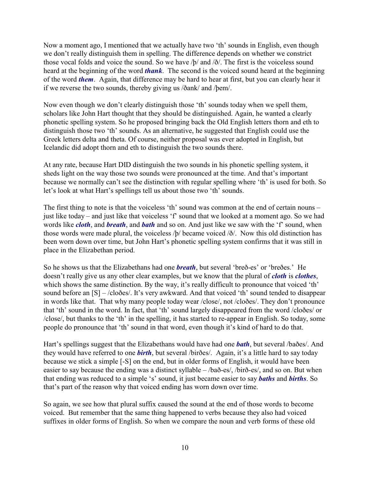Now a moment ago, I mentioned that we actually have two 'th' sounds in English, even though we don't really distinguish them in spelling. The difference depends on whether we constrict those vocal folds and voice the sound. So we have /þ/ and /ð/. The first is the voiceless sound heard at the beginning of the word *thank*. The second is the voiced sound heard at the beginning of the word *them*. Again, that difference may be hard to hear at first, but you can clearly hear it if we reverse the two sounds, thereby giving us /ðank/ and /þem/.

Now even though we don't clearly distinguish those 'th' sounds today when we spell them, scholars like John Hart thought that they should be distinguished. Again, he wanted a clearly phonetic spelling system. So he proposed bringing back the Old English letters thorn and eth to distinguish those two 'th' sounds. As an alternative, he suggested that English could use the Greek letters delta and theta. Of course, neither proposal was ever adopted in English, but Icelandic did adopt thorn and eth to distinguish the two sounds there.

At any rate, because Hart DID distinguish the two sounds in his phonetic spelling system, it sheds light on the way those two sounds were pronounced at the time. And that's important because we normally can't see the distinction with regular spelling where 'th' is used for both. So let's look at what Hart's spellings tell us about those two 'th' sounds.

The first thing to note is that the voiceless 'th' sound was common at the end of certain nouns – just like today – and just like that voiceless 'f' sound that we looked at a moment ago. So we had words like *cloth*, and *breath*, and *bath* and so on. And just like we saw with the 'f' sound, when those words were made plural, the voiceless /þ/ became voiced /ð/. Now this old distinction has been worn down over time, but John Hart's phonetic spelling system confirms that it was still in place in the Elizabethan period.

So he shows us that the Elizabethans had one *breath*, but several 'breð-es' or 'breðes.' He doesn't really give us any other clear examples, but we know that the plural of *cloth* is *clothes*, which shows the same distinction. By the way, it's really difficult to pronounce that voiced 'th' sound before an [S] – /cloðes/. It's very awkward. And that voiced 'th' sound tended to disappear in words like that. That why many people today wear /close/, not /cloðes/. They don't pronounce that 'th' sound in the word. In fact, that 'th' sound largely disappeared from the word /cloðes/ or /close/, but thanks to the 'th' in the spelling, it has started to re-appear in English. So today, some people do pronounce that 'th' sound in that word, even though it's kind of hard to do that.

Hart's spellings suggest that the Elizabethans would have had one *bath*, but several /baðes/. And they would have referred to one *birth*, but several /birðes/. Again, it's a little hard to say today because we stick a simple [-S] on the end, but in older forms of English, it would have been easier to say because the ending was a distinct syllable – /bað-es/, /birð-es/, and so on. But when that ending was reduced to a simple 's' sound, it just became easier to say *baths* and *births*. So that's part of the reason why that voiced ending has worn down over time.

So again, we see how that plural suffix caused the sound at the end of those words to become voiced. But remember that the same thing happened to verbs because they also had voiced suffixes in older forms of English. So when we compare the noun and verb forms of these old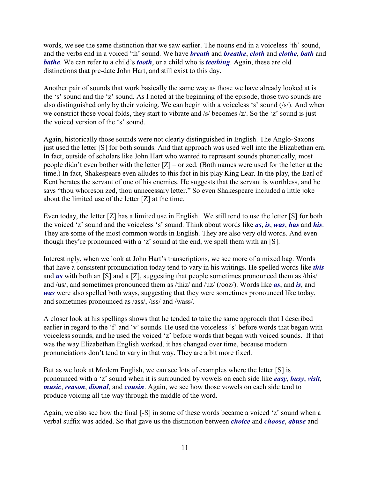words, we see the same distinction that we saw earlier. The nouns end in a voiceless 'th' sound, and the verbs end in a voiced 'th' sound. We have *breath* and *breathe*, *cloth* and *clothe*, *bath* and *bathe*. We can refer to a child's *tooth*, or a child who is *teething*. Again, these are old distinctions that pre-date John Hart, and still exist to this day.

Another pair of sounds that work basically the same way as those we have already looked at is the 's' sound and the 'z' sound. As I noted at the beginning of the episode, those two sounds are also distinguished only by their voicing. We can begin with a voiceless 's' sound (/s/). And when we constrict those vocal folds, they start to vibrate and /s/ becomes /z/. So the 'z' sound is just the voiced version of the 's' sound.

Again, historically those sounds were not clearly distinguished in English. The Anglo-Saxons just used the letter [S] for both sounds. And that approach was used well into the Elizabethan era. In fact, outside of scholars like John Hart who wanted to represent sounds phonetically, most people didn't even bother with the letter  $[Z]$  – or zed. (Both names were used for the letter at the time.) In fact, Shakespeare even alludes to this fact in his play King Lear. In the play, the Earl of Kent berates the servant of one of his enemies. He suggests that the servant is worthless, and he says "thou whoreson zed, thou unnecessary letter." So even Shakespeare included a little joke about the limited use of the letter [Z] at the time.

Even today, the letter [Z] has a limited use in English. We still tend to use the letter [S] for both the voiced 'z' sound and the voiceless 's' sound. Think about words like *as*, *is*, *was*, *has* and *his*. They are some of the most common words in English. They are also very old words. And even though they're pronounced with a 'z' sound at the end, we spell them with an [S].

Interestingly, when we look at John Hart's transcriptions, we see more of a mixed bag. Words that have a consistent pronunciation today tend to vary in his writings. He spelled words like *this* and **us** with both an [S] and a [Z], suggesting that people sometimes pronounced them as /this/ and /us/, and sometimes pronounced them as /thiz/ and /uz/ (/ooz/). Words like *as*, and *is*, and *was* were also spelled both ways, suggesting that they were sometimes pronounced like today, and sometimes pronounced as /ass/, /iss/ and /wass/.

A closer look at his spellings shows that he tended to take the same approach that I described earlier in regard to the 'f' and 'v' sounds. He used the voiceless 's' before words that began with voiceless sounds, and he used the voiced 'z' before words that began with voiced sounds. If that was the way Elizabethan English worked, it has changed over time, because modern pronunciations don't tend to vary in that way. They are a bit more fixed.

But as we look at Modern English, we can see lots of examples where the letter [S] is pronounced with a 'z' sound when it is surrounded by vowels on each side like *easy*, *busy*, *visit*, *music*, *reason*, *dismal*, and *cousin*. Again, we see how those vowels on each side tend to produce voicing all the way through the middle of the word.

Again, we also see how the final [-S] in some of these words became a voiced 'z' sound when a verbal suffix was added. So that gave us the distinction between *choice* and *choose*, *abuse* and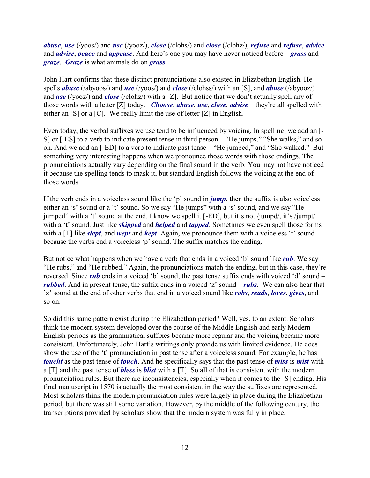*abuse*, *use* (/yoos/) and *use* (/yooz/), *close* (/clohs/) and *close* (/clohz/), *refuse* and *refuse*, *advice* and *advise*, *peace* and *appease*. And here's one you may have never noticed before – *grass* and *graze*. *Graze* is what animals do on *grass*.

John Hart confirms that these distinct pronunciations also existed in Elizabethan English. He spells *abuse* (/abyoos/) and *use* (/yoos/) and *close* (/clohss/) with an [S], and *abuse* (/abyooz/) and *use* (/yooz/) and *close* (/clohz/) with a [Z]. But notice that we don't actually spell any of those words with a letter [Z] today. *Choose*, *abuse*, *use*, *close*, *advise* – they're all spelled with either an [S] or a [C]. We really limit the use of letter [Z] in English.

Even today, the verbal suffixes we use tend to be influenced by voicing. In spelling, we add an [- S] or [-ES] to a verb to indicate present tense in third person – "He jumps," "She walks," and so on. And we add an [-ED] to a verb to indicate past tense – "He jumped," and "She walked." But something very interesting happens when we pronounce those words with those endings. The pronunciations actually vary depending on the final sound in the verb. You may not have noticed it because the spelling tends to mask it, but standard English follows the voicing at the end of those words.

If the verb ends in a voiceless sound like the 'p' sound in  $jump$ , then the suffix is also voiceless – either an 's' sound or a 't' sound. So we say "He jumps" with a 's' sound, and we say "He jumped" with a 't' sound at the end. I know we spell it [-ED], but it's not /jumpd/, it's /jumpt/ with a 't' sound. Just like *skipped* and *helped* and *tapped*. Sometimes we even spell those forms with a [T] like *slept*, and *wept* and *kept*. Again, we pronounce them with a voiceless 't' sound because the verbs end a voiceless 'p' sound. The suffix matches the ending.

But notice what happens when we have a verb that ends in a voiced 'b' sound like *rub*. We say "He rubs," and "He rubbed." Again, the pronunciations match the ending, but in this case, they're reversed. Since *rub* ends in a voiced 'b' sound, the past tense suffix ends with voiced 'd' sound – *rubbed*. And in present tense, the suffix ends in a voiced 'z' sound – *rubs*. We can also hear that 'z' sound at the end of other verbs that end in a voiced sound like *robs*, *reads*, *loves*, *gives*, and so on.

So did this same pattern exist during the Elizabethan period? Well, yes, to an extent. Scholars think the modern system developed over the course of the Middle English and early Modern English periods as the grammatical suffixes became more regular and the voicing became more consistent. Unfortunately, John Hart's writings only provide us with limited evidence. He does show the use of the 't' pronunciation in past tense after a voiceless sound. For example, he has *toucht* as the past tense of *touch*. And he specifically says that the past tense of *miss* is *mist* with a [T] and the past tense of *bless* is *blist* with a [T]. So all of that is consistent with the modern pronunciation rules. But there are inconsistencies, especially when it comes to the [S] ending. His final manuscript in 1570 is actually the most consistent in the way the suffixes are represented. Most scholars think the modern pronunciation rules were largely in place during the Elizabethan period, but there was still some variation. However, by the middle of the following century, the transcriptions provided by scholars show that the modern system was fully in place.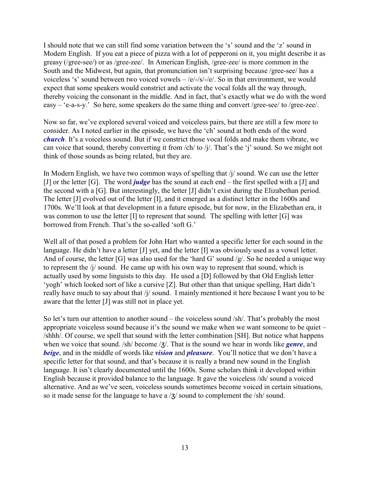I should note that we can still find some variation between the 's' sound and the 'z' sound in Modern English. If you eat a piece of pizza with a lot of pepperoni on it, you might describe it as greasy (/gree-see/) or as /gree-zee/. In American English, /gree-zee/ is more common in the South and the Midwest, but again, that pronunciation isn't surprising because /gree-see/ has a voiceless 's' sound between two voiced vowels  $-\frac{e}{-s}/\frac{s}{-e}$ . So in that environment, we would expect that some speakers would constrict and activate the vocal folds all the way through, thereby voicing the consonant in the middle. And in fact, that's exactly what we do with the word easy – 'e-a-s-y.' So here, some speakers do the same thing and convert /gree-see/ to /gree-zee/.

Now so far, we've explored several voiced and voiceless pairs, but there are still a few more to consider. As I noted earlier in the episode, we have the 'ch' sound at both ends of the word *church*. It's a voiceless sound. But if we constrict those vocal folds and make them vibrate, we can voice that sound, thereby converting it from /ch/ to /j/. That's the 'j' sound. So we might not think of those sounds as being related, but they are.

In Modern English, we have two common ways of spelling that  $\frac{1}{4}$  sound. We can use the letter [J] or the letter [G]. The word *judge* has the sound at each end – the first spelled with a [J] and the second with a [G]. But interestingly, the letter [J] didn't exist during the Elizabethan period. The letter [J] evolved out of the letter [I], and it emerged as a distinct letter in the 1600s and 1700s. We'll look at that development in a future episode, but for now, in the Elizabethan era, it was common to use the letter [I] to represent that sound. The spelling with letter [G] was borrowed from French. That's the so-called 'soft G.'

Well all of that posed a problem for John Hart who wanted a specific letter for each sound in the language. He didn't have a letter [J] yet, and the letter [I] was obviously used as a vowel letter. And of course, the letter [G] was also used for the 'hard G' sound /g/. So he needed a unique way to represent the /j/ sound. He came up with his own way to represent that sound, which is actually used by some linguists to this day. He used a [D] followed by that Old English letter 'yogh' which looked sort of like a cursive [Z]. But other than that unique spelling, Hart didn't really have much to say about that /j/ sound. I mainly mentioned it here because I want you to be aware that the letter [J] was still not in place yet.

So let's turn our attention to another sound – the voiceless sound /sh/. That's probably the most appropriate voiceless sound because it's the sound we make when we want someone to be quiet – /shhh/. Of course, we spell that sound with the letter combination [SH]. But notice what happens when we voice that sound. /sh/ become /3/. That is the sound we hear in words like *genre*, and *beige*, and in the middle of words like *vision* and *pleasure*. You'll notice that we don't have a specific letter for that sound, and that's because it is really a brand new sound in the English language. It isn't clearly documented until the 1600s. Some scholars think it developed within English because it provided balance to the language. It gave the voiceless /sh/ sound a voiced alternative. And as we've seen, voiceless sounds sometimes become voiced in certain situations, so it made sense for the language to have a  $\langle \frac{1}{2} \rangle$  sound to complement the  $\langle \frac{1}{2} \rangle$  sound.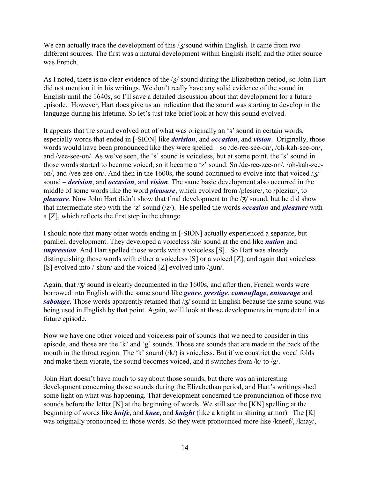We can actually trace the development of this  $\frac{1}{3}$  sound within English. It came from two different sources. The first was a natural development within English itself, and the other source was French.

As I noted, there is no clear evidence of the  $\chi$  sound during the Elizabethan period, so John Hart did not mention it in his writings. We don't really have any solid evidence of the sound in English until the 1640s, so I'll save a detailed discussion about that development for a future episode. However, Hart does give us an indication that the sound was starting to develop in the language during his lifetime. So let's just take brief look at how this sound evolved.

It appears that the sound evolved out of what was originally an 's' sound in certain words, especially words that ended in [-SION] like *derision*, and *occasion*, and *vision*. Originally, those words would have been pronounced like they were spelled – so /de-ree-see-on/, /oh-kah-see-on/, and /vee-see-on/. As we've seen, the 's' sound is voiceless, but at some point, the 's' sound in those words started to become voiced, so it became a 'z' sound. So /de-ree-zee-on/, /oh-kah-zeeon/, and /vee-zee-on/. And then in the 1600s, the sound continued to evolve into that voiced  $\frac{1}{3}$ sound – *derision*, and *occasion*, and *vision*. The same basic development also occurred in the middle of some words like the word *pleasure*, which evolved from /plesire/, to /pleziur/, to *pleasure*. Now John Hart didn't show that final development to the / $\frac{1}{3}$  sound, but he did show that intermediate step with the 'z' sound (/z/). He spelled the words *occasion* and *pleasure* with a [Z], which reflects the first step in the change.

I should note that many other words ending in [-SION] actually experienced a separate, but parallel, development. They developed a voiceless /sh/ sound at the end like *nation* and *impression*. And Hart spelled those words with a voiceless [S]. So Hart was already distinguishing those words with either a voiceless [S] or a voiced [Z], and again that voiceless [S] evolved into  $/$ -shun $/$  and the voiced [Z] evolved into  $/3$ un $/$ .

Again, that  $\frac{1}{3}$  sound is clearly documented in the 1600s, and after then, French words were borrowed into English with the same sound like *genre*, *prestige*, *camouflage*, *entourage* and *sabotage*. Those words apparently retained that / $\frac{7}{3}$  sound in English because the same sound was being used in English by that point. Again, we'll look at those developments in more detail in a future episode.

Now we have one other voiced and voiceless pair of sounds that we need to consider in this episode, and those are the 'k' and 'g' sounds. Those are sounds that are made in the back of the mouth in the throat region. The 'k' sound  $(|k\rangle)$  is voiceless. But if we constrict the vocal folds and make them vibrate, the sound becomes voiced, and it switches from  $/k/$  to  $/g/$ .

John Hart doesn't have much to say about those sounds, but there was an interesting development concerning those sounds during the Elizabethan period, and Hart's writings shed some light on what was happening. That development concerned the pronunciation of those two sounds before the letter [N] at the beginning of words. We still see the [KN] spelling at the beginning of words like *knife*, and *knee*, and *knight* (like a knight in shining armor). The [K] was originally pronounced in those words. So they were pronounced more like /kneef/, /knay/,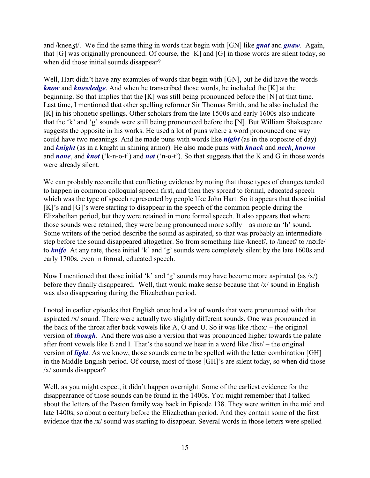and /knee $\zeta$ t/. We find the same thing in words that begin with [GN] like *gnat* and *gnaw*. Again, that [G] was originally pronounced. Of course, the [K] and [G] in those words are silent today, so when did those initial sounds disappear?

Well, Hart didn't have any examples of words that begin with [GN], but he did have the words *know* and *knowledge*. And when he transcribed those words, he included the [K] at the beginning. So that implies that the [K] was still being pronounced before the [N] at that time. Last time, I mentioned that other spelling reformer Sir Thomas Smith, and he also included the [K] in his phonetic spellings. Other scholars from the late 1500s and early 1600s also indicate that the 'k' and 'g' sounds were still being pronounced before the [N]. But William Shakespeare suggests the opposite in his works. He used a lot of puns where a word pronounced one way could have two meanings. And he made puns with words like *night* (as in the opposite of day) and *knight* (as in a knight in shining armor). He also made puns with *knack* and *neck*, *known* and *none*, and *knot* ('k-n-o-t') and *not* ('n-o-t'). So that suggests that the K and G in those words were already silent.

We can probably reconcile that conflicting evidence by noting that those types of changes tended to happen in common colloquial speech first, and then they spread to formal, educated speech which was the type of speech represented by people like John Hart. So it appears that those initial [K]'s and [G]'s were starting to disappear in the speech of the common people during the Elizabethan period, but they were retained in more formal speech. It also appears that where those sounds were retained, they were being pronounced more softly – as more an 'h' sound. Some writers of the period describe the sound as aspirated, so that was probably an intermediate step before the sound disappeared altogether. So from something like /kneef/, to /hneef/ to /noife/ to *knife*. At any rate, those initial 'k' and 'g' sounds were completely silent by the late 1600s and early 1700s, even in formal, educated speech.

Now I mentioned that those initial 'k' and 'g' sounds may have become more aspirated (as  $\langle x \rangle$ ) before they finally disappeared. Well, that would make sense because that  $\frac{x}{\sin \theta}$  sound in English was also disappearing during the Elizabethan period.

I noted in earlier episodes that English once had a lot of words that were pronounced with that aspirated /x/ sound. There were actually two slightly different sounds. One was pronounced in the back of the throat after back vowels like A, O and U. So it was like /thox/ – the original version of *though*. And there was also a version that was pronounced higher towards the palate after front vowels like E and I. That's the sound we hear in a word like  $\ell$ lixt $\ell$  – the original version of *light*. As we know, those sounds came to be spelled with the letter combination [GH] in the Middle English period. Of course, most of those [GH]'s are silent today, so when did those /x/ sounds disappear?

Well, as you might expect, it didn't happen overnight. Some of the earliest evidence for the disappearance of those sounds can be found in the 1400s. You might remember that I talked about the letters of the Paston family way back in Episode 138. They were written in the mid and late 1400s, so about a century before the Elizabethan period. And they contain some of the first evidence that the /x/ sound was starting to disappear. Several words in those letters were spelled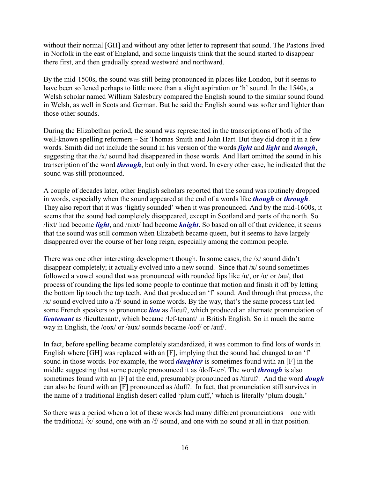without their normal [GH] and without any other letter to represent that sound. The Pastons lived in Norfolk in the east of England, and some linguists think that the sound started to disappear there first, and then gradually spread westward and northward.

By the mid-1500s, the sound was still being pronounced in places like London, but it seems to have been softened perhaps to little more than a slight aspiration or 'h' sound. In the 1540s, a Welsh scholar named William Salesbury compared the English sound to the similar sound found in Welsh, as well in Scots and German. But he said the English sound was softer and lighter than those other sounds.

During the Elizabethan period, the sound was represented in the transcriptions of both of the well-known spelling reformers – Sir Thomas Smith and John Hart. But they did drop it in a few words. Smith did not include the sound in his version of the words *fight* and *light* and *though*, suggesting that the /x/ sound had disappeared in those words. And Hart omitted the sound in his transcription of the word *through*, but only in that word. In every other case, he indicated that the sound was still pronounced.

A couple of decades later, other English scholars reported that the sound was routinely dropped in words, especially when the sound appeared at the end of a words like *though* or *through*. They also report that it was 'lightly sounded' when it was pronounced. And by the mid-1600s, it seems that the sound had completely disappeared, except in Scotland and parts of the north. So /lixt/ had become *light*, and /nixt/ had become *knight*. So based on all of that evidence, it seems that the sound was still common when Elizabeth became queen, but it seems to have largely disappeared over the course of her long reign, especially among the common people.

There was one other interesting development though. In some cases, the /x/ sound didn't disappear completely; it actually evolved into a new sound. Since that /x/ sound sometimes followed a vowel sound that was pronounced with rounded lips like /u/, or /o/ or /au/, that process of rounding the lips led some people to continue that motion and finish it off by letting the bottom lip touch the top teeth. And that produced an 'f' sound. And through that process, the /x/ sound evolved into a /f/ sound in some words. By the way, that's the same process that led some French speakers to pronounce *lieu* as /lieuf/, which produced an alternate pronunciation of *lieutenant* as /lieuftenant/, which became /lef-tenant/ in British English. So in much the same way in English, the /oox/ or /aux/ sounds became /oof/ or /auf/.

In fact, before spelling became completely standardized, it was common to find lots of words in English where [GH] was replaced with an [F], implying that the sound had changed to an 'f' sound in those words. For example, the word *daughter* is sometimes found with an [F] in the middle suggesting that some people pronounced it as /doff-ter/. The word *through* is also sometimes found with an [F] at the end, presumably pronounced as /thruf/. And the word *dough* can also be found with an [F] pronounced as /duff/. In fact, that pronunciation still survives in the name of a traditional English desert called 'plum duff,' which is literally 'plum dough.'

So there was a period when a lot of these words had many different pronunciations – one with the traditional /x/ sound, one with an /f/ sound, and one with no sound at all in that position.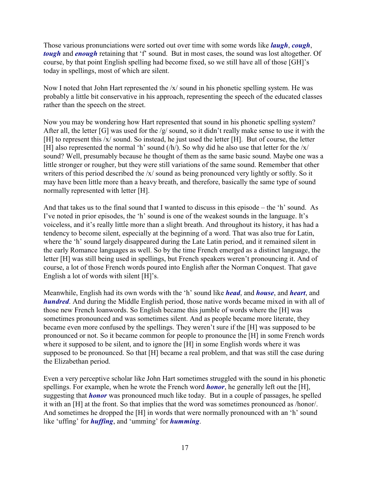Those various pronunciations were sorted out over time with some words like *laugh*, *cough*, *tough* and *enough* retaining that 'f' sound. But in most cases, the sound was lost altogether. Of course, by that point English spelling had become fixed, so we still have all of those [GH]'s today in spellings, most of which are silent.

Now I noted that John Hart represented the  $x$  sound in his phonetic spelling system. He was probably a little bit conservative in his approach, representing the speech of the educated classes rather than the speech on the street.

Now you may be wondering how Hart represented that sound in his phonetic spelling system? After all, the letter [G] was used for the /g/ sound, so it didn't really make sense to use it with the [H] to represent this /x/ sound. So instead, he just used the letter [H]. But of course, the letter [H] also represented the normal 'h' sound  $(h)$ . So why did he also use that letter for the  $/x/$ sound? Well, presumably because he thought of them as the same basic sound. Maybe one was a little stronger or rougher, but they were still variations of the same sound. Remember that other writers of this period described the /x/ sound as being pronounced very lightly or softly. So it may have been little more than a heavy breath, and therefore, basically the same type of sound normally represented with letter [H].

And that takes us to the final sound that I wanted to discuss in this episode – the 'h' sound. As I've noted in prior episodes, the 'h' sound is one of the weakest sounds in the language. It's voiceless, and it's really little more than a slight breath. And throughout its history, it has had a tendency to become silent, especially at the beginning of a word. That was also true for Latin, where the 'h' sound largely disappeared during the Late Latin period, and it remained silent in the early Romance languages as well. So by the time French emerged as a distinct language, the letter [H] was still being used in spellings, but French speakers weren't pronouncing it. And of course, a lot of those French words poured into English after the Norman Conquest. That gave English a lot of words with silent [H]'s.

Meanwhile, English had its own words with the 'h' sound like *head*, and *house*, and *heart*, and *hundred*. And during the Middle English period, those native words became mixed in with all of those new French loanwords. So English became this jumble of words where the [H] was sometimes pronounced and was sometimes silent. And as people became more literate, they became even more confused by the spellings. They weren't sure if the [H] was supposed to be pronounced or not. So it became common for people to pronounce the [H] in some French words where it supposed to be silent, and to ignore the [H] in some English words where it was supposed to be pronounced. So that [H] became a real problem, and that was still the case during the Elizabethan period.

Even a very perceptive scholar like John Hart sometimes struggled with the sound in his phonetic spellings. For example, when he wrote the French word *honor*, he generally left out the [H], suggesting that *honor* was pronounced much like today. But in a couple of passages, he spelled it with an [H] at the front. So that implies that the word was sometimes pronounced as /honor/. And sometimes he dropped the [H] in words that were normally pronounced with an 'h' sound like 'uffing' for *huffing*, and 'umming' for *humming*.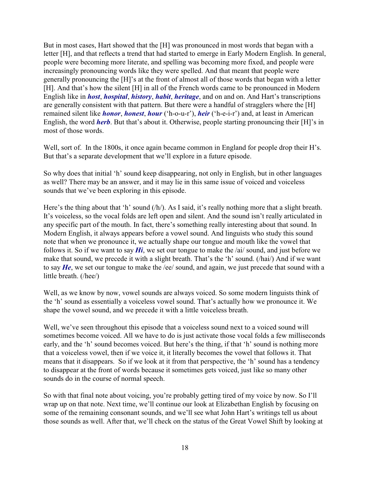But in most cases, Hart showed that the [H] was pronounced in most words that began with a letter [H], and that reflects a trend that had started to emerge in Early Modern English. In general, people were becoming more literate, and spelling was becoming more fixed, and people were increasingly pronouncing words like they were spelled. And that meant that people were generally pronouncing the [H]'s at the front of almost all of those words that began with a letter [H]. And that's how the silent [H] in all of the French words came to be pronounced in Modern English like in *host*, *hospital*, *history*, *habit*, *heritage*, and on and on. And Hart's transcriptions are generally consistent with that pattern. But there were a handful of stragglers where the [H] remained silent like *honor*, *honest*, *hour* ('h-o-u-r'), *heir* ('h-e-i-r') and, at least in American English, the word *herb*. But that's about it. Otherwise, people starting pronouncing their [H]'s in most of those words.

Well, sort of. In the 1800s, it once again became common in England for people drop their H's. But that's a separate development that we'll explore in a future episode.

So why does that initial 'h' sound keep disappearing, not only in English, but in other languages as well? There may be an answer, and it may lie in this same issue of voiced and voiceless sounds that we've been exploring in this episode.

Here's the thing about that 'h' sound (/h/). As I said, it's really nothing more that a slight breath. It's voiceless, so the vocal folds are left open and silent. And the sound isn't really articulated in any specific part of the mouth. In fact, there's something really interesting about that sound. In Modern English, it always appears before a vowel sound. And linguists who study this sound note that when we pronounce it, we actually shape our tongue and mouth like the vowel that follows it. So if we want to say *Hi*, we set our tongue to make the /ai/ sound, and just before we make that sound, we precede it with a slight breath. That's the 'h' sound. (/hai/) And if we want to say *He*, we set our tongue to make the /ee/ sound, and again, we just precede that sound with a little breath. (/hee/)

Well, as we know by now, vowel sounds are always voiced. So some modern linguists think of the 'h' sound as essentially a voiceless vowel sound. That's actually how we pronounce it. We shape the vowel sound, and we precede it with a little voiceless breath.

Well, we've seen throughout this episode that a voiceless sound next to a voiced sound will sometimes become voiced. All we have to do is just activate those vocal folds a few milliseconds early, and the 'h' sound becomes voiced. But here's the thing, if that 'h' sound is nothing more that a voiceless vowel, then if we voice it, it literally becomes the vowel that follows it. That means that it disappears. So if we look at it from that perspective, the 'h' sound has a tendency to disappear at the front of words because it sometimes gets voiced, just like so many other sounds do in the course of normal speech.

So with that final note about voicing, you're probably getting tired of my voice by now. So I'll wrap up on that note. Next time, we'll continue our look at Elizabethan English by focusing on some of the remaining consonant sounds, and we'll see what John Hart's writings tell us about those sounds as well. After that, we'll check on the status of the Great Vowel Shift by looking at